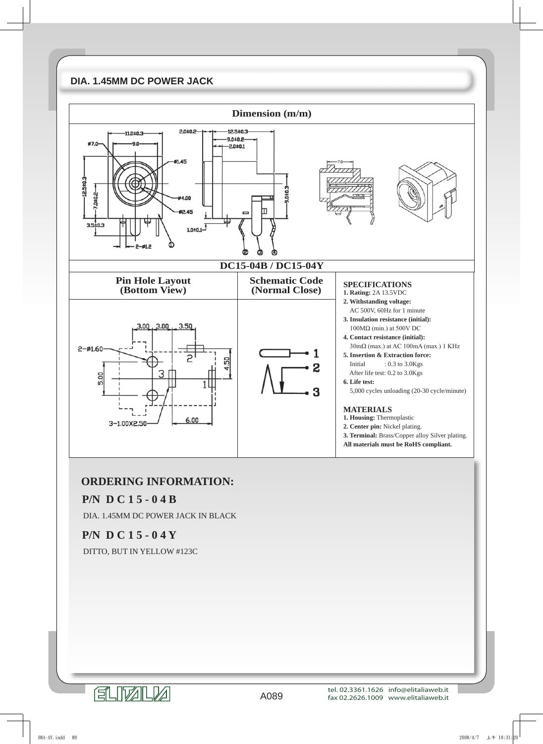## **DIA. 1.45MM DC POWER JACK**



## **ORDERING INFORMATION:**

## **P/N D C 1 5 - 0 4 B**

DIA. 1.45MM DC POWER JACK IN BLACK

## **P/N D C 1 5 - 0 4 Y**

DITTO, BUT IN YELLOW #123C

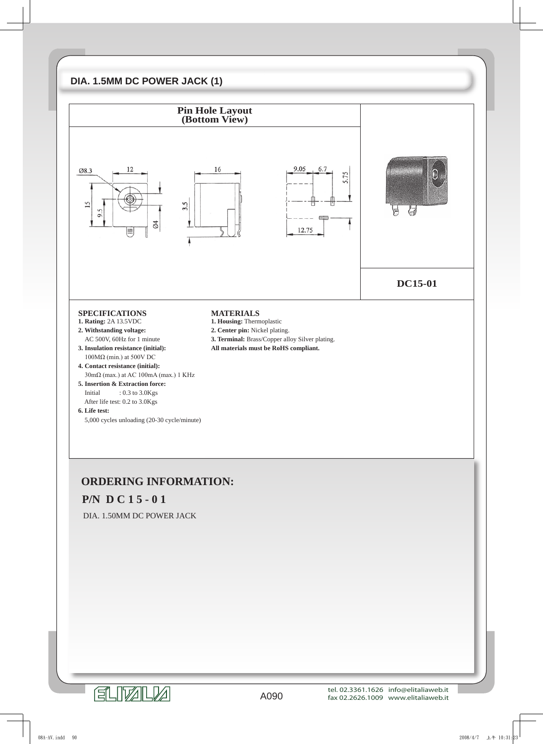## **DIA. 1.5MM DC POWER JACK (1)**



## **P/N D C 1 5 - 0 1**

DIA. 1.50MM DC POWER JACK

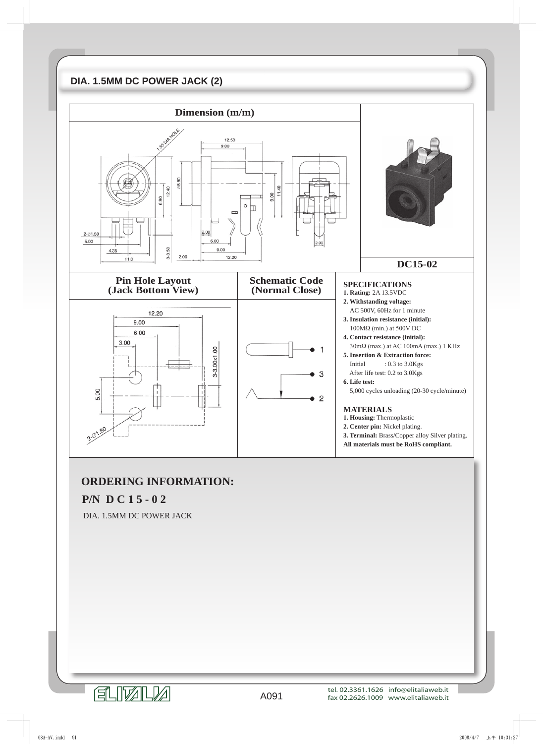# **DIA. 1.5MM DC POWER JACK (2)**



## **ORDERING INFORMATION:**

#### **P/N D C 1 5 - 0 2**

DIA. 1.5MM DC POWER JACK